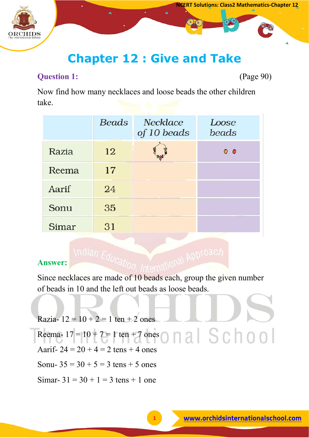

# **Chapter 12 : Give and Take**

# **Question 1:** (Page 90)

Now find how many necklaces and loose beads the other children take.

|       | <b>Beads</b> | <b>Necklace</b><br>of 10 beads | Loose<br>beads |
|-------|--------------|--------------------------------|----------------|
| Razia | 12           |                                | $\circ$        |
| Reema | 17           |                                |                |
| Aarif | 24           |                                |                |
| Sonu  | 35           |                                |                |
| Simar | 31           |                                |                |

# **Answer:**

Since necklaces are made of 10 beads each, group the given number of beads in 10 and the left out beads as loose beads.

Razia-  $12 = 10 + 2 = 1$  ten  $+ 2$  ones nal School Reema-  $17 = 10 + 7 = 1$  ten + 7 ones Aarif-  $24 = 20 + 4 = 2$  tens + 4 ones Sonu-  $35 = 30 + 5 = 3$  tens + 5 ones Simar-  $31 = 30 + 1 = 3$  tens + 1 one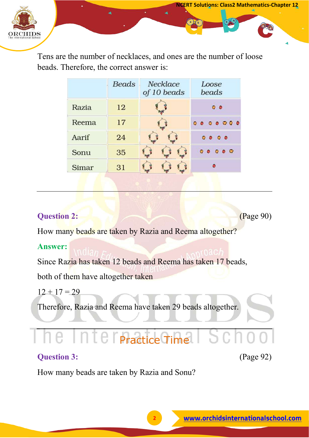

Tens are the number of necklaces, and ones are the number of loose beads. Therefore, the correct answer is:

|       | <b>Beads</b> | Necklace<br>of 10 beads | Loose<br>beads                                                                     |  |  |
|-------|--------------|-------------------------|------------------------------------------------------------------------------------|--|--|
| Razia | 12           |                         | $\bullet$                                                                          |  |  |
| Reema | 17           |                         | $0.0.0.0.0.0.0$                                                                    |  |  |
| Aarif | 24           |                         | $\begin{array}{ccc} \circ & \circ & \circ & \circ \end{array}$                     |  |  |
| Sonu  | 35           |                         | $\begin{array}{ccc}\n\bullet & \bullet & \bullet & \bullet & \bullet\n\end{array}$ |  |  |
| Simar | 31           |                         |                                                                                    |  |  |

# **Question 2:** (Page 90)

**NCERT Solutions: Class2 Mathematics-Chapter 12**

How many beads are taken by Razia and Reema altogether?

## **Answer:**

Since Razia has taken 12 beads and Reema has taken 17 beads, both of them have altogether taken

 $12 + 17 = 29$ 

Therefore, Razia and Reema have taken 29 beads altogether.

# **Practice Time**

# **Question 3:** (Page 92)

How many beads are taken by Razia and Sonu?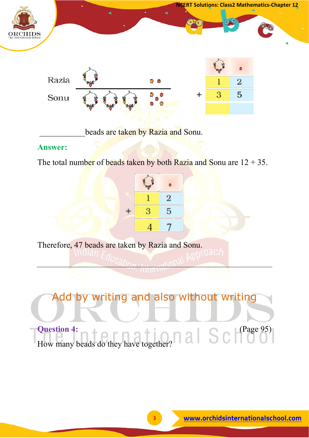

beads are taken by Razia and Sonu.

## **Answer:**

The total number of beads taken by both Razia and Sonu are  $12 + 35$ .



Therefore, 47 beads are taken by Razia and Sonu.

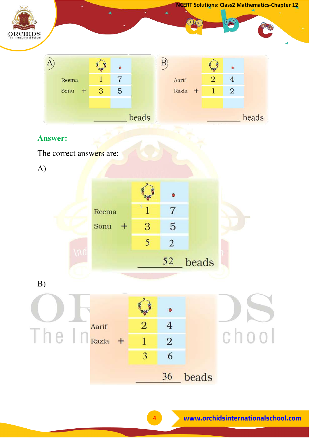

beads

36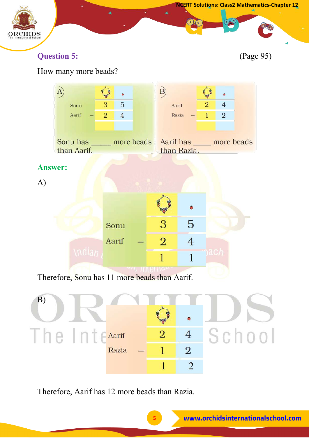

#### How many more beads?  $\overrightarrow{B}$ **CARD** A)  $\bullet$ 0 3 5  $\overline{2}$  $\overline{4}$ Sonu Aarif  $\overline{2}$  $\overline{4}$  $\overline{1}$  $\overline{2}$ Aarif Razia more beads Sonu has Aarif has \_\_\_\_\_ more beads than Aarif. than Razia. **Answer:** A) Ó 3 5 Sonu  $\overline{2}$ Aarif  $\overline{4}$  $\mathbf{1}$  $\mathbf{1}$ Therefore, Sonu has 11 more beads than Aarif.



Therefore, Aarif has 12 more beads than Razia.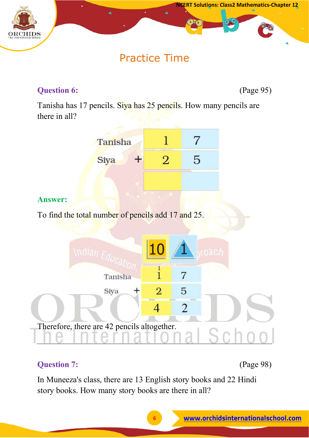

# Practice Time

# **Question 6:** (Page 95)

Tanisha has 17 pencils. Siya has 25 pencils. How many pencils are there in all?



# **Answer:**

To find the total number of pencils add 17 and 25.



# **Question 7:** (Page 98)

In Muneeza's class, there are 13 English story books and 22 Hindi story books. How many story books are there in all?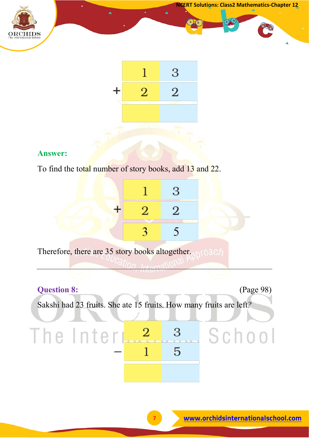



To find the total number of story books, add 13 and 22.

| Therefore, there are 35 story books altogether. |  |  |
|-------------------------------------------------|--|--|

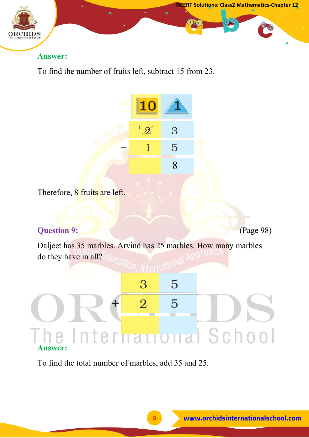

To find the number of fruits left, subtract 15 from 23.



Therefore, 8 fruits are left.

# **Question 9: CE** (Page 98)

Daljeet has 35 marbles. Arvind has 25 marbles. How many marbles do they have in all?

# 3 5

# I School Interi **Answer:**

5

 $\overline{2}$ 

To find the total number of marbles, add 35 and 25.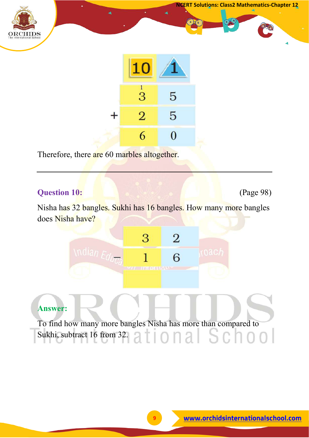



Therefore, there are 60 marbles altogether.

# **Question 10:** (Page 98)

Nisha has 32 bangles. Sukhi has 16 bangles. How many more bangles does Nisha have?



# **Answer:**

To find how many more bangles Nisha has more than compared to Sukhi, subtract 16 from 32.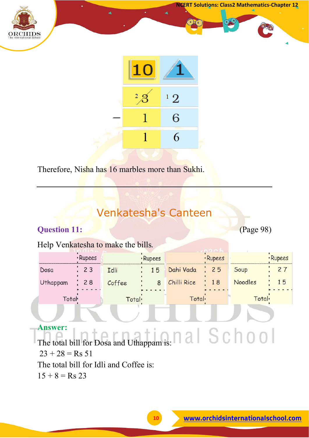



Therefore, Nisha has 16 marbles more than Sukhi.

# Venkatesha's Canteen

# **Question 11:** (Page 98)

# Help Venkatesha to make the bills*.*

|                 | · Rupees                                 | · Rupees |                    | · Rupees       |        | · Rupees |    |
|-----------------|------------------------------------------|----------|--------------------|----------------|--------|----------|----|
| Dosa            | 23                                       | Idli     | 15                 | Dahi Vada : 25 |        | Soup     |    |
| <b>Uthappam</b> | 28                                       | Coffee   | 8                  | Chilli Rice    | 18     | Noodles  | 15 |
|                 | Total <sup>.</sup><br>Total <sup>.</sup> |          | Total <sub>'</sub> |                | Total. |          |    |
|                 |                                          |          |                    |                |        |          |    |

# **Answer:**

The total bill for Dosa and Uthappam is:  $23 + 28 =$ Rs 51 The total bill for Idli and Coffee is:  $15 + 8 =$  Rs 23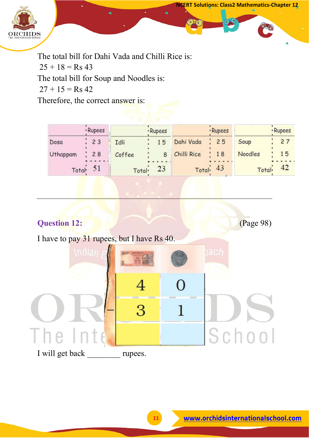

The total bill for Dahi Vada and Chilli Rice is:  $25 + 18 =$  Rs 43 The total bill for Soup and Noodles is:  $27 + 15 =$ Rs 42 Therefore, the correct answer is:

|                    | · Rupees |                    | · Rupees |                    | · Rupees                                        |         | · Rupees |
|--------------------|----------|--------------------|----------|--------------------|-------------------------------------------------|---------|----------|
| Dosa               | 23       | Idli               | 15       | Dahi Vada          | 25                                              | Soup    | 27       |
| Uthappam           | 28       | Coffee             | 8        | Chilli Rice        | 18                                              | Noodles | 15       |
| Total <sup>.</sup> |          | Total <sup>.</sup> | 23       | Total <sub>1</sub> | 43<br>the company of the company of the company | Total.  | 42       |

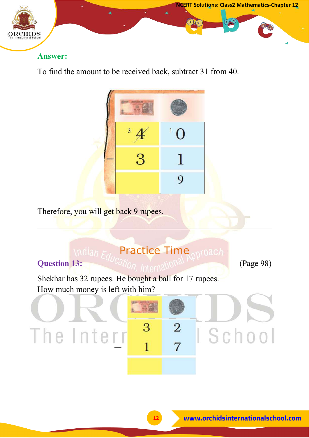

To find the amount to be received back, subtract 31 from 40.



Therefore, you will get back 9 rupees.

# **Indian Education Time notach**

# **Question 13: Cation Informational Planet** (Page 98)

Shekhar has 32 rupees. He bought a ball for 17 rupees. How much money is left with him?

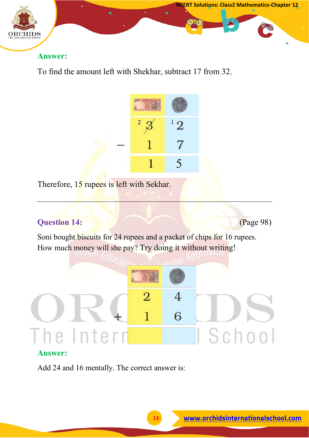

To find the amount left with Shekhar, subtract 17 from 32.



Therefore, 15 rupees is left with Sekhar.

# **Question 14:** *Cage 98) Page 98)*

Soni bought biscuits for 24 rupees and a packet of chips for 16 rupees. How much money will she pay? Try doing it without writing!



# **Answer:**

Add 24 and 16 mentally. The correct answer is: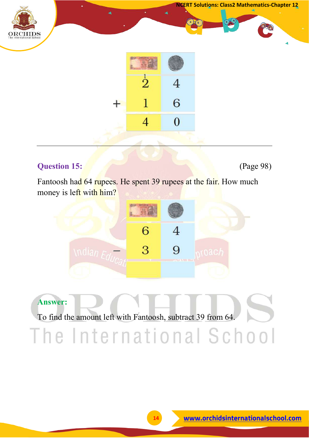



# **Question 15:** (Page 98)

Fantoosh had 64 rupees. He spent 39 rupees at the fair. How much money is left with him?



# **Answer:**

To find the amount left with Fantoosh, subtract 39 from 64.

The International School